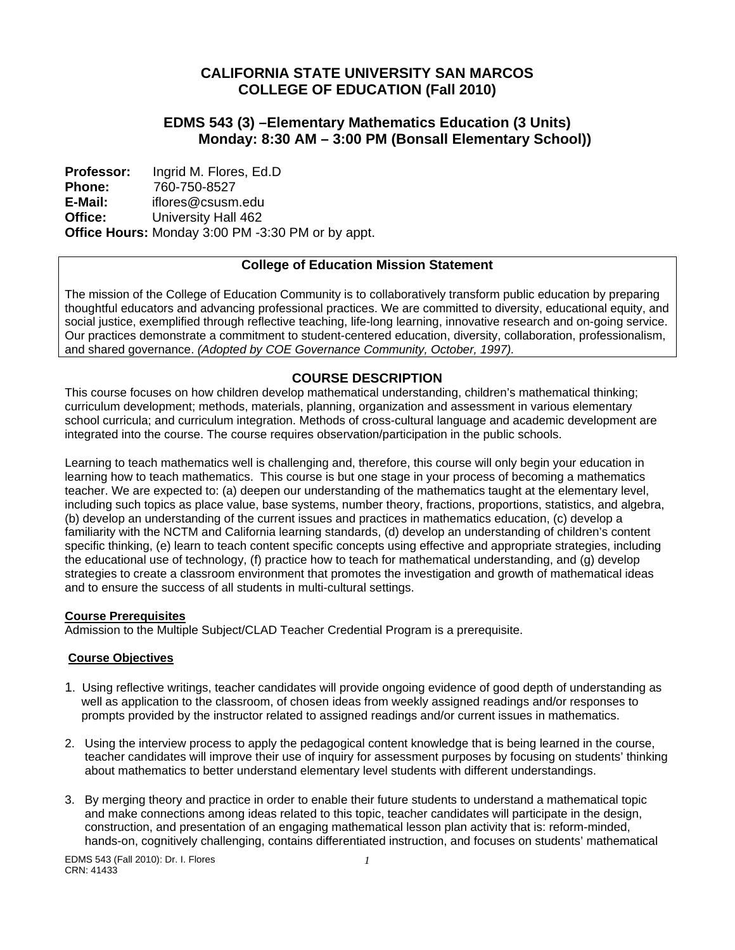# **CALIFORNIA STATE UNIVERSITY SAN MARCOS COLLEGE OF EDUCATION (Fall 2010)**

# **EDMS 543 (3) –Elementary Mathematics Education (3 Units) Monday: 8:30 AM – 3:00 PM (Bonsall Elementary School))**

 **Office: Professor: Phone: E-Mail:**  Ingrid M. Flores, Ed.D 760-750-8527 iflores@csusm.edu University Hall 462 **Office Hours:** Monday 3:00 PM -3:30 PM or by appt.

# **College of Education Mission Statement**

The mission of the College of Education Community is to collaboratively transform public education by preparing thoughtful educators and advancing professional practices. We are committed to diversity, educational equity, and social justice, exemplified through reflective teaching, life-long learning, innovative research and on-going service. Our practices demonstrate a commitment to student-centered education, diversity, collaboration, professionalism, and shared governance. *(Adopted by COE Governance Community, October, 1997).* 

# **COURSE DESCRIPTION**

This course focuses on how children develop mathematical understanding, children's mathematical thinking; curriculum development; methods, materials, planning, organization and assessment in various elementary school curricula; and curriculum integration. Methods of cross-cultural language and academic development are integrated into the course. The course requires observation/participation in the public schools.

Learning to teach mathematics well is challenging and, therefore, this course will only begin your education in learning how to teach mathematics. This course is but one stage in your process of becoming a mathematics teacher. We are expected to: (a) deepen our understanding of the mathematics taught at the elementary level, including such topics as place value, base systems, number theory, fractions, proportions, statistics, and algebra, (b) develop an understanding of the current issues and practices in mathematics education, (c) develop a familiarity with the NCTM and California learning standards, (d) develop an understanding of children's content specific thinking, (e) learn to teach content specific concepts using effective and appropriate strategies, including the educational use of technology, (f) practice how to teach for mathematical understanding, and (g) develop strategies to create a classroom environment that promotes the investigation and growth of mathematical ideas and to ensure the success of all students in multi-cultural settings.

## **Course Prerequisites**

Admission to the Multiple Subject/CLAD Teacher Credential Program is a prerequisite.

## **Course Objectives**

- 1. Using reflective writings, teacher candidates will provide ongoing evidence of good depth of understanding as well as application to the classroom, of chosen ideas from weekly assigned readings and/or responses to prompts provided by the instructor related to assigned readings and/or current issues in mathematics.
- 2. Using the interview process to apply the pedagogical content knowledge that is being learned in the course, teacher candidates will improve their use of inquiry for assessment purposes by focusing on students' thinking about mathematics to better understand elementary level students with different understandings.
- 3. By merging theory and practice in order to enable their future students to understand a mathematical topic and make connections among ideas related to this topic, teacher candidates will participate in the design, construction, and presentation of an engaging mathematical lesson plan activity that is: reform-minded, hands-on, cognitively challenging, contains differentiated instruction, and focuses on students' mathematical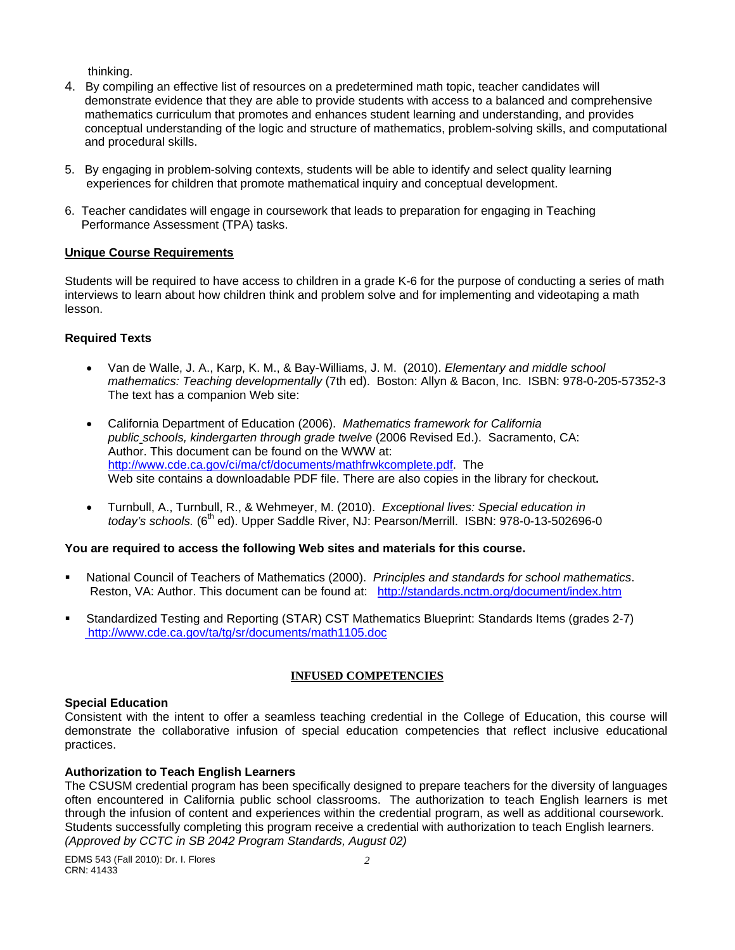thinking.

- 4. By compiling an effective list of resources on a predetermined math topic, teacher candidates will demonstrate evidence that they are able to provide students with access to a balanced and comprehensive mathematics curriculum that promotes and enhances student learning and understanding, and provides conceptual understanding of the logic and structure of mathematics, problem-solving skills, and computational and procedural skills.
- 5. By engaging in problem-solving contexts, students will be able to identify and select quality learning experiences for children that promote mathematical inquiry and conceptual development.
- 6. Teacher candidates will engage in coursework that leads to preparation for engaging in Teaching Performance Assessment (TPA) tasks.

## **Unique Course Requirements**

Students will be required to have access to children in a grade K-6 for the purpose of conducting a series of math interviews to learn about how children think and problem solve and for implementing and videotaping a math lesson.

## **Required Texts**

- Van de Walle, J. A., Karp, K. M., & Bay-Williams, J. M. (2010). *Elementary and middle school mathematics: Teaching developmentally* (7th ed). Boston: Allyn & Bacon, Inc. ISBN: 978-0-205-57352-3 The text has a companion Web site:
- California Department of Education (2006). *Mathematics framework for California public schools, kindergarten through grade twelve* (2006 Revised Ed.). Sacramento, CA: Author. This document can be found on the WWW at: http://www.cde.ca.gov/ci/ma/cf/documents/mathfrwkcomplete.pdf. The Web site contains a downloadable PDF file. There are also copies in the library for checkout**.**
- Turnbull, A., Turnbull, R., & Wehmeyer, M. (2010). *Exceptional lives: Special education in today's schools.* (6<sup>th</sup> ed). Upper Saddle River, NJ: Pearson/Merrill. ISBN: 978-0-13-502696-0

## **You are required to access the following Web sites and materials for this course.**

- National Council of Teachers of Mathematics (2000). *Principles and standards for school mathematics*. Reston, VA: Author. This document can be found at: http://standards.nctm.org/document/index.htm
- Standardized Testing and Reporting (STAR) CST Mathematics Blueprint: Standards Items (grades 2-7) http://www.cde.ca.gov/ta/tg/sr/documents/math1105.doc

## **INFUSED COMPETENCIES**

#### **Special Education**

Consistent with the intent to offer a seamless teaching credential in the College of Education, this course will demonstrate the collaborative infusion of special education competencies that reflect inclusive educational practices.

## **Authorization to Teach English Learners**

 through the infusion of content and experiences within the credential program, as well as additional coursework. The CSUSM credential program has been specifically designed to prepare teachers for the diversity of languages often encountered in California public school classrooms. The authorization to teach English learners is met Students successfully completing this program receive a credential with authorization to teach English learners. *(Approved by CCTC in SB 2042 Program Standards, August 02)*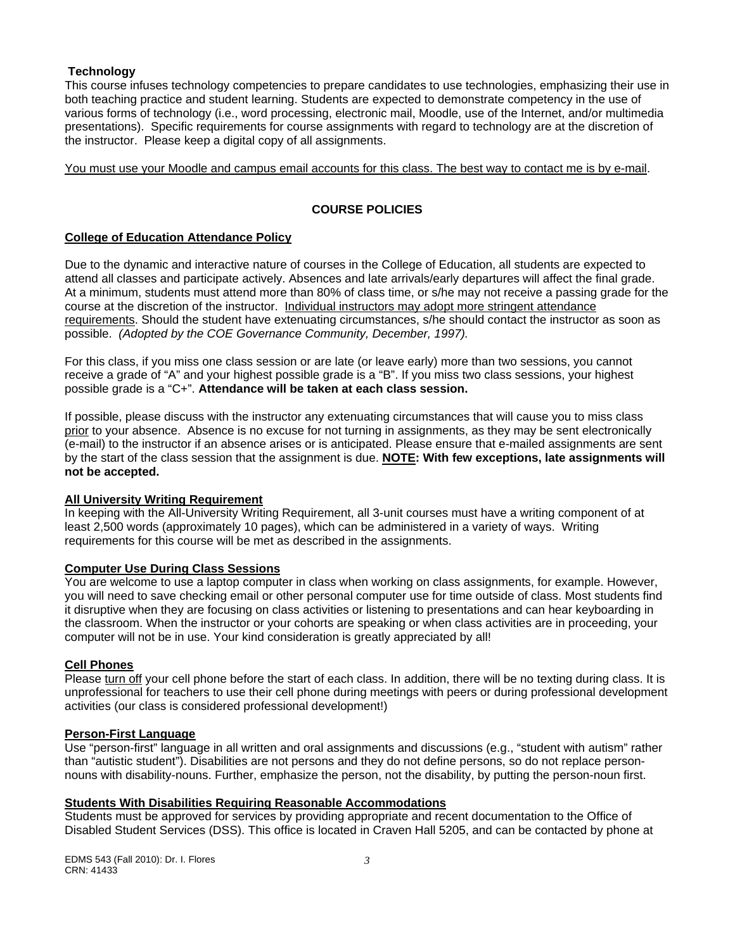#### **Technology**

This course infuses technology competencies to prepare candidates to use technologies, emphasizing their use in both teaching practice and student learning. Students are expected to demonstrate competency in the use of various forms of technology (i.e., word processing, electronic mail, Moodle, use of the Internet, and/or multimedia presentations). Specific requirements for course assignments with regard to technology are at the discretion of the instructor. Please keep a digital copy of all assignments.

You must use your Moodle and campus email accounts for this class. The best way to contact me is by e-mail.

## **COURSE POLICIES**

## **College of Education Attendance Policy**

 possible. *(Adopted by the COE Governance Community, December, 1997).* Due to the dynamic and interactive nature of courses in the College of Education, all students are expected to attend all classes and participate actively. Absences and late arrivals/early departures will affect the final grade. At a minimum, students must attend more than 80% of class time, or s/he may not receive a passing grade for the course at the discretion of the instructor. Individual instructors may adopt more stringent attendance requirements. Should the student have extenuating circumstances, s/he should contact the instructor as soon as

For this class, if you miss one class session or are late (or leave early) more than two sessions, you cannot receive a grade of "A" and your highest possible grade is a "B". If you miss two class sessions, your highest possible grade is a "C+". **Attendance will be taken at each class session.** 

If possible, please discuss with the instructor any extenuating circumstances that will cause you to miss class prior to your absence. Absence is no excuse for not turning in assignments, as they may be sent electronically (e-mail) to the instructor if an absence arises or is anticipated. Please ensure that e-mailed assignments are sent by the start of the class session that the assignment is due. **NOTE: With few exceptions, late assignments will not be accepted.** 

#### **All University Writing Requirement**

In keeping with the All-University Writing Requirement, all 3-unit courses must have a writing component of at least 2,500 words (approximately 10 pages), which can be administered in a variety of ways. Writing requirements for this course will be met as described in the assignments.

## **Computer Use During Class Sessions**

You are welcome to use a laptop computer in class when working on class assignments, for example. However, you will need to save checking email or other personal computer use for time outside of class. Most students find it disruptive when they are focusing on class activities or listening to presentations and can hear keyboarding in the classroom. When the instructor or your cohorts are speaking or when class activities are in proceeding, your computer will not be in use. Your kind consideration is greatly appreciated by all!

## **Cell Phones**

Please turn off your cell phone before the start of each class. In addition, there will be no texting during class. It is unprofessional for teachers to use their cell phone during meetings with peers or during professional development activities (our class is considered professional development!)

#### **Person-First Language**

Use "person-first" language in all written and oral assignments and discussions (e.g., "student with autism" rather than "autistic student"). Disabilities are not persons and they do not define persons, so do not replace personnouns with disability-nouns. Further, emphasize the person, not the disability, by putting the person-noun first.

#### **Students With Disabilities Requiring Reasonable Accommodations**

Students must be approved for services by providing appropriate and recent documentation to the Office of Disabled Student Services (DSS). This office is located in Craven Hall 5205, and can be contacted by phone at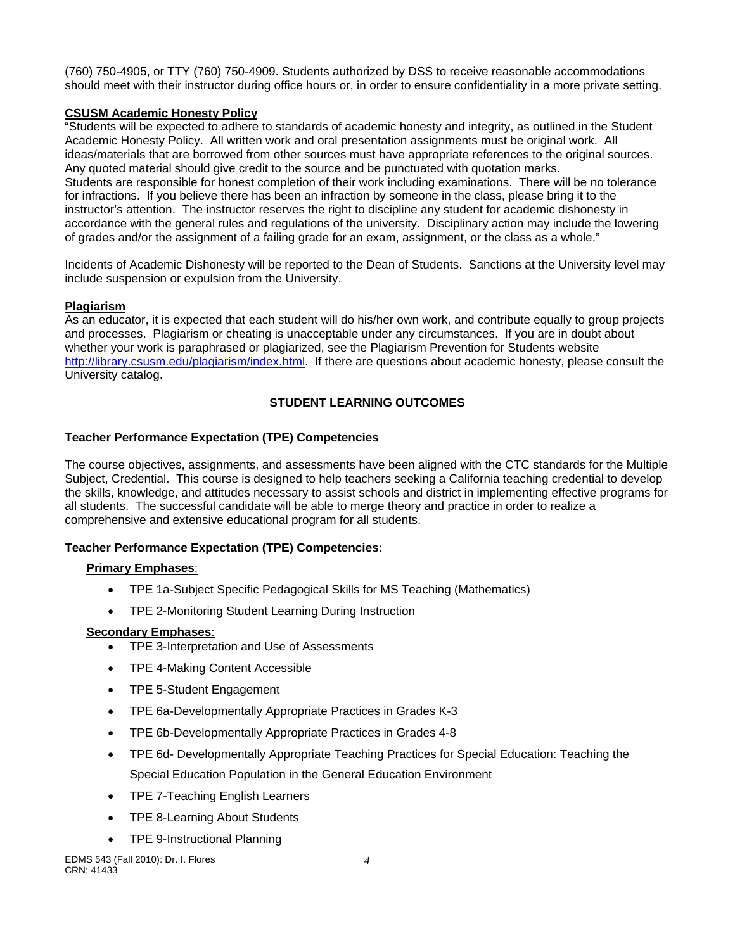(760) 750-4905, or TTY (760) 750-4909. Students authorized by DSS to receive reasonable accommodations should meet with their instructor during office hours or, in order to ensure confidentiality in a more private setting.

## **CSUSM Academic Honesty Policy**

"Students will be expected to adhere to standards of academic honesty and integrity, as outlined in the Student Academic Honesty Policy. All written work and oral presentation assignments must be original work. All ideas/materials that are borrowed from other sources must have appropriate references to the original sources. Any quoted material should give credit to the source and be punctuated with quotation marks. Students are responsible for honest completion of their work including examinations. There will be no tolerance for infractions. If you believe there has been an infraction by someone in the class, please bring it to the instructor's attention. The instructor reserves the right to discipline any student for academic dishonesty in accordance with the general rules and regulations of the university. Disciplinary action may include the lowering of grades and/or the assignment of a failing grade for an exam, assignment, or the class as a whole."

Incidents of Academic Dishonesty will be reported to the Dean of Students. Sanctions at the University level may include suspension or expulsion from the University.

# **Plagiarism**

As an educator, it is expected that each student will do his/her own work, and contribute equally to group projects and processes. Plagiarism or cheating is unacceptable under any circumstances. If you are in doubt about whether your work is paraphrased or plagiarized, see the Plagiarism Prevention for Students website http://library.csusm.edu/plagiarism/index.html. If there are questions about academic honesty, please consult the University catalog.

# **STUDENT LEARNING OUTCOMES**

# **Teacher Performance Expectation (TPE) Competencies**

The course objectives, assignments, and assessments have been aligned with the CTC standards for the Multiple Subject, Credential. This course is designed to help teachers seeking a California teaching credential to develop the skills, knowledge, and attitudes necessary to assist schools and district in implementing effective programs for all students. The successful candidate will be able to merge theory and practice in order to realize a comprehensive and extensive educational program for all students.

# **Teacher Performance Expectation (TPE) Competencies:**

## **Primary Emphases**:

- TPE 1a-Subject Specific Pedagogical Skills for MS Teaching (Mathematics)
- TPE 2-Monitoring Student Learning During Instruction

## **Secondary Emphases**:

- TPE 3-Interpretation and Use of Assessments
- TPE 4-Making Content Accessible
- TPE 5-Student Engagement
- TPE 6a-Developmentally Appropriate Practices in Grades K-3
- TPE 6b-Developmentally Appropriate Practices in Grades 4-8
- TPE 6d- Developmentally Appropriate Teaching Practices for Special Education: Teaching the Special Education Population in the General Education Environment
- TPE 7-Teaching English Learners
- TPE 8-Learning About Students
- TPE 9-Instructional Planning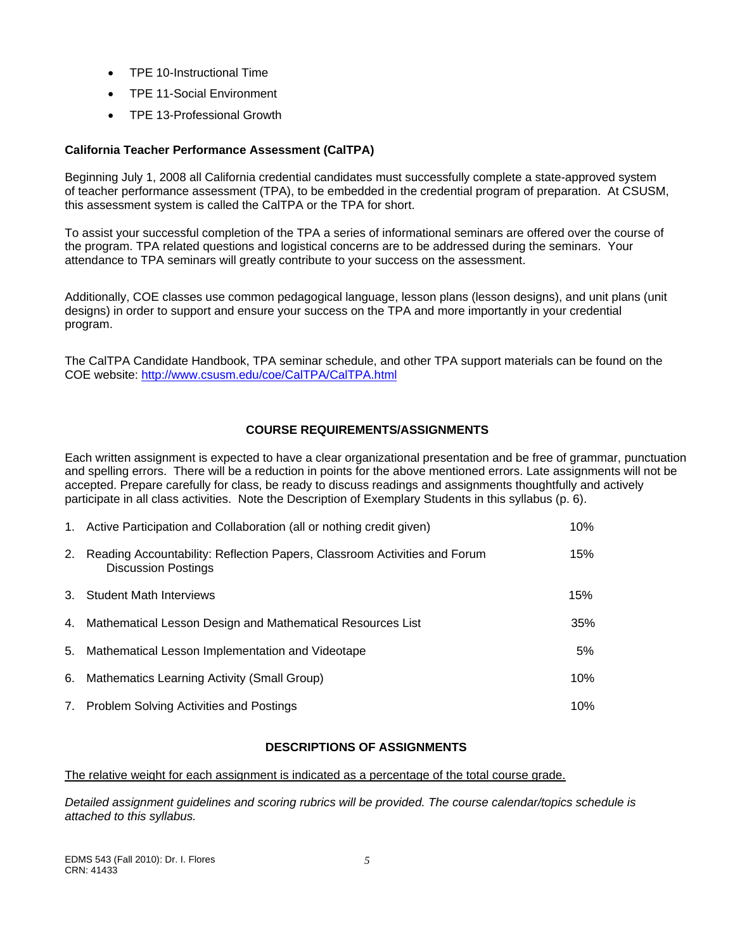- TPE 10-Instructional Time
- TPE 11-Social Environment
- TPE 13-Professional Growth

# **California Teacher Performance Assessment (CalTPA)**

Beginning July 1, 2008 all California credential candidates must successfully complete a state-approved system of teacher performance assessment (TPA), to be embedded in the credential program of preparation. At CSUSM, this assessment system is called the CalTPA or the TPA for short.

To assist your successful completion of the TPA a series of informational seminars are offered over the course of the program. TPA related questions and logistical concerns are to be addressed during the seminars. Your attendance to TPA seminars will greatly contribute to your success on the assessment.

Additionally, COE classes use common pedagogical language, lesson plans (lesson designs), and unit plans (unit designs) in order to support and ensure your success on the TPA and more importantly in your credential program.

The CalTPA Candidate Handbook, TPA seminar schedule, and other TPA support materials can be found on the COE website: http://www.csusm.edu/coe/CalTPA/CalTPA.html

# **COURSE REQUIREMENTS/ASSIGNMENTS**

Each written assignment is expected to have a clear organizational presentation and be free of grammar, punctuation and spelling errors. There will be a reduction in points for the above mentioned errors. Late assignments will not be accepted. Prepare carefully for class, be ready to discuss readings and assignments thoughtfully and actively participate in all class activities. Note the Description of Exemplary Students in this syllabus (p. 6).

|               | 1. Active Participation and Collaboration (all or nothing credit given)                                 | 10% |
|---------------|---------------------------------------------------------------------------------------------------------|-----|
| <sup>2.</sup> | Reading Accountability: Reflection Papers, Classroom Activities and Forum<br><b>Discussion Postings</b> | 15% |
|               | 3. Student Math Interviews                                                                              | 15% |
| 4.            | Mathematical Lesson Design and Mathematical Resources List                                              | 35% |
| 5.            | Mathematical Lesson Implementation and Videotape                                                        | 5%  |
| 6.            | Mathematics Learning Activity (Small Group)                                                             | 10% |
| 7.            | <b>Problem Solving Activities and Postings</b>                                                          | 10% |

## **DESCRIPTIONS OF ASSIGNMENTS**

The relative weight for each assignment is indicated as a percentage of the total course grade.

*Detailed assignment guidelines and scoring rubrics will be provided. The course calendar/topics schedule is attached to this syllabus.*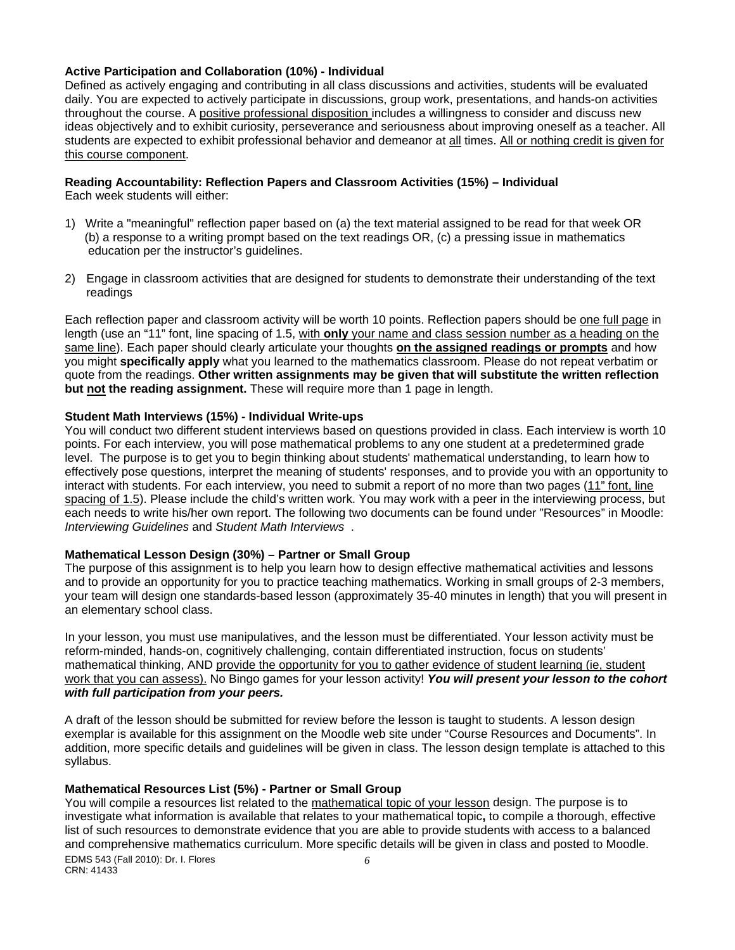#### **Active Participation and Collaboration (10%) - Individual**

Defined as actively engaging and contributing in all class discussions and activities, students will be evaluated daily. You are expected to actively participate in discussions, group work, presentations, and hands-on activities throughout the course. A positive professional disposition includes a willingness to consider and discuss new ideas objectively and to exhibit curiosity, perseverance and seriousness about improving oneself as a teacher. All students are expected to exhibit professional behavior and demeanor at all times. All or nothing credit is given for this course component.

# **Reading Accountability: Reflection Papers and Classroom Activities (15%) – Individual**

Each week students will either:

- 1) Write a "meaningful" reflection paper based on (a) the text material assigned to be read for that week OR (b) a response to a writing prompt based on the text readings OR, (c) a pressing issue in mathematics education per the instructor's guidelines.
- 2) Engage in classroom activities that are designed for students to demonstrate their understanding of the text readings

Each reflection paper and classroom activity will be worth 10 points. Reflection papers should be one full page in length (use an "11" font, line spacing of 1.5, with **only** your name and class session number as a heading on the same line). Each paper should clearly articulate your thoughts **on the assigned readings or prompts** and how you might **specifically apply** what you learned to the mathematics classroom. Please do not repeat verbatim or quote from the readings. **Other written assignments may be given that will substitute the written reflection but not the reading assignment.** These will require more than 1 page in length.

## **Student Math Interviews (15%) - Individual Write-ups**

 *Interviewing Guidelines* and *Student Math Interviews* . You will conduct two different student interviews based on questions provided in class. Each interview is worth 10 points. For each interview, you will pose mathematical problems to any one student at a predetermined grade level. The purpose is to get you to begin thinking about students' mathematical understanding, to learn how to effectively pose questions, interpret the meaning of students' responses, and to provide you with an opportunity to interact with students. For each interview, you need to submit a report of no more than two pages (11" font, line spacing of 1.5). Please include the child's written work. You may work with a peer in the interviewing process, but each needs to write his/her own report. The following two documents can be found under "Resources" in Moodle:

## **Mathematical Lesson Design (30%) – Partner or Small Group**

The purpose of this assignment is to help you learn how to design effective mathematical activities and lessons and to provide an opportunity for you to practice teaching mathematics. Working in small groups of 2-3 members, your team will design one standards-based lesson (approximately 35-40 minutes in length) that you will present in an elementary school class.

 *with full participation from your peers.* In your lesson, you must use manipulatives, and the lesson must be differentiated. Your lesson activity must be reform-minded, hands-on, cognitively challenging, contain differentiated instruction, focus on students' mathematical thinking, AND provide the opportunity for you to gather evidence of student learning (ie, student work that you can assess). No Bingo games for your lesson activity! *You will present your lesson to the cohort* 

A draft of the lesson should be submitted for review before the lesson is taught to students. A lesson design exemplar is available for this assignment on the Moodle web site under "Course Resources and Documents". In addition, more specific details and guidelines will be given in class. The lesson design template is attached to this syllabus.

## **Mathematical Resources List (5%) - Partner or Small Group**

You will compile a resources list related to the mathematical topic of your lesson design. The purpose is to investigate what information is available that relates to your mathematical topic**,** to compile a thorough, effective list of such resources to demonstrate evidence that you are able to provide students with access to a balanced and comprehensive mathematics curriculum. More specific details will be given in class and posted to Moodle. EDMS 543 (Fall 2010): Dr. I. Flores *6* 

CRN: 41433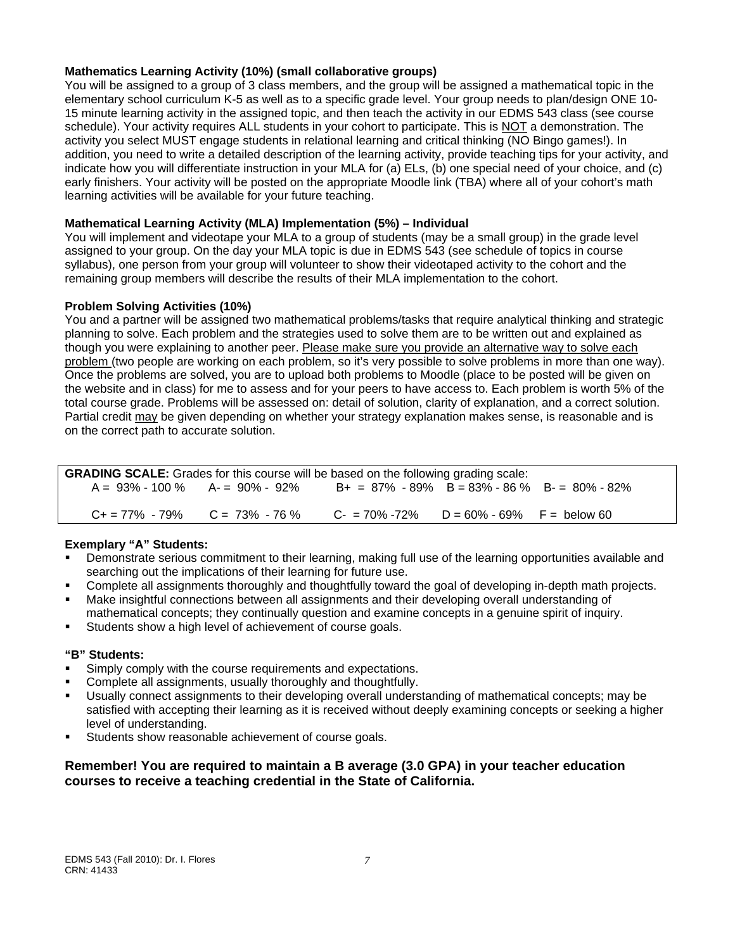## **Mathematics Learning Activity (10%) (small collaborative groups)**

You will be assigned to a group of 3 class members, and the group will be assigned a mathematical topic in the elementary school curriculum K-5 as well as to a specific grade level. Your group needs to plan/design ONE 10- 15 minute learning activity in the assigned topic, and then teach the activity in our EDMS 543 class (see course schedule). Your activity requires ALL students in your cohort to participate. This is NOT a demonstration. The activity you select MUST engage students in relational learning and critical thinking (NO Bingo games!). In addition, you need to write a detailed description of the learning activity, provide teaching tips for your activity, and indicate how you will differentiate instruction in your MLA for (a) ELs, (b) one special need of your choice, and (c) early finishers. Your activity will be posted on the appropriate Moodle link (TBA) where all of your cohort's math learning activities will be available for your future teaching.

## **Mathematical Learning Activity (MLA) Implementation (5%) – Individual**

You will implement and videotape your MLA to a group of students (may be a small group) in the grade level assigned to your group. On the day your MLA topic is due in EDMS 543 (see schedule of topics in course syllabus), one person from your group will volunteer to show their videotaped activity to the cohort and the remaining group members will describe the results of their MLA implementation to the cohort.

## **Problem Solving Activities (10%)**

You and a partner will be assigned two mathematical problems/tasks that require analytical thinking and strategic planning to solve. Each problem and the strategies used to solve them are to be written out and explained as though you were explaining to another peer. Please make sure you provide an alternative way to solve each problem (two people are working on each problem, so it's very possible to solve problems in more than one way). Once the problems are solved, you are to upload both problems to Moodle (place to be posted will be given on the website and in class) for me to assess and for your peers to have access to. Each problem is worth 5% of the total course grade. Problems will be assessed on: detail of solution, clarity of explanation, and a correct solution. Partial credit may be given depending on whether your strategy explanation makes sense, is reasonable and is on the correct path to accurate solution.

| <b>GRADING SCALE:</b> Grades for this course will be based on the following grading scale: |                                       |                                                 |  |  |  |
|--------------------------------------------------------------------------------------------|---------------------------------------|-------------------------------------------------|--|--|--|
|                                                                                            | $A = 93\% - 100\%$ $A = 90\% - 92\%$  | $B+ = 87\% - 89\%$ B = 83% - 86 % B - 80% - 82% |  |  |  |
|                                                                                            | $C_+ = 77\% - 79\%$ $C = 73\% - 76\%$ | $C = 70\% - 72\%$ D = 60% - 69% F = below 60    |  |  |  |

## **Exemplary "A" Students:**

- Demonstrate serious commitment to their learning, making full use of the learning opportunities available and searching out the implications of their learning for future use.
- Complete all assignments thoroughly and thoughtfully toward the goal of developing in-depth math projects.
- Make insightful connections between all assignments and their developing overall understanding of mathematical concepts; they continually question and examine concepts in a genuine spirit of inquiry.
- Students show a high level of achievement of course goals.

#### **"B" Students:**

- Simply comply with the course requirements and expectations.
- Complete all assignments, usually thoroughly and thoughtfully.
- Usually connect assignments to their developing overall understanding of mathematical concepts; may be satisfied with accepting their learning as it is received without deeply examining concepts or seeking a higher level of understanding.
- Students show reasonable achievement of course goals.

## **Remember! You are required to maintain a B average (3.0 GPA) in your teacher education courses to receive a teaching credential in the State of California.**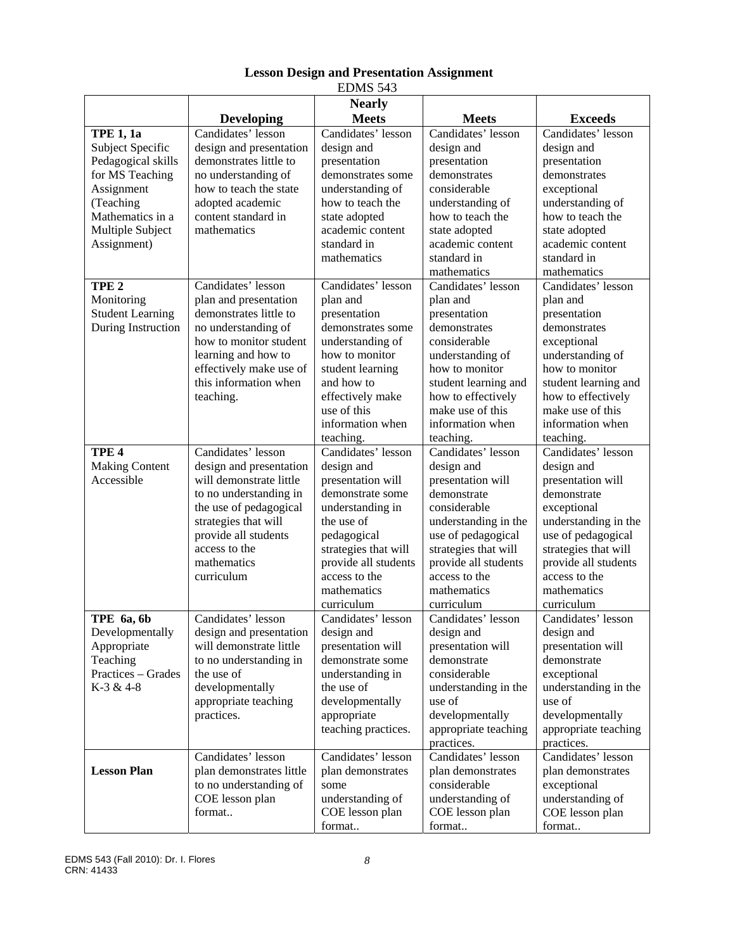|                                                                                                                                                                 |                                                                                                                                                                                                                            | LDMI) JIJ                                                                                                                                                                                                                |                                                                                                                                                                                                                                  |                                                                                                                                                                                                                                 |
|-----------------------------------------------------------------------------------------------------------------------------------------------------------------|----------------------------------------------------------------------------------------------------------------------------------------------------------------------------------------------------------------------------|--------------------------------------------------------------------------------------------------------------------------------------------------------------------------------------------------------------------------|----------------------------------------------------------------------------------------------------------------------------------------------------------------------------------------------------------------------------------|---------------------------------------------------------------------------------------------------------------------------------------------------------------------------------------------------------------------------------|
|                                                                                                                                                                 | <b>Developing</b>                                                                                                                                                                                                          | <b>Nearly</b><br><b>Meets</b>                                                                                                                                                                                            | <b>Meets</b>                                                                                                                                                                                                                     | <b>Exceeds</b>                                                                                                                                                                                                                  |
| <b>TPE 1, 1a</b><br>Subject Specific<br>Pedagogical skills<br>for MS Teaching<br>Assignment<br>(Teaching<br>Mathematics in a<br>Multiple Subject<br>Assignment) | Candidates' lesson<br>design and presentation<br>demonstrates little to<br>no understanding of<br>how to teach the state<br>adopted academic<br>content standard in<br>mathematics                                         | Candidates' lesson<br>design and<br>presentation<br>demonstrates some<br>understanding of<br>how to teach the<br>state adopted<br>academic content<br>standard in<br>mathematics                                         | Candidates' lesson<br>design and<br>presentation<br>demonstrates<br>considerable<br>understanding of<br>how to teach the<br>state adopted<br>academic content<br>standard in<br>mathematics                                      | Candidates' lesson<br>design and<br>presentation<br>demonstrates<br>exceptional<br>understanding of<br>how to teach the<br>state adopted<br>academic content<br>standard in<br>mathematics                                      |
| TPE <sub>2</sub><br>Monitoring<br><b>Student Learning</b><br>During Instruction                                                                                 | Candidates' lesson<br>plan and presentation<br>demonstrates little to<br>no understanding of<br>how to monitor student<br>learning and how to<br>effectively make use of<br>this information when<br>teaching.             | Candidates' lesson<br>plan and<br>presentation<br>demonstrates some<br>understanding of<br>how to monitor<br>student learning<br>and how to<br>effectively make<br>use of this<br>information when<br>teaching.          | Candidates' lesson<br>plan and<br>presentation<br>demonstrates<br>considerable<br>understanding of<br>how to monitor<br>student learning and<br>how to effectively<br>make use of this<br>information when<br>teaching.          | Candidates' lesson<br>plan and<br>presentation<br>demonstrates<br>exceptional<br>understanding of<br>how to monitor<br>student learning and<br>how to effectively<br>make use of this<br>information when<br>teaching.          |
| TPE <sub>4</sub><br><b>Making Content</b><br>Accessible                                                                                                         | Candidates' lesson<br>design and presentation<br>will demonstrate little<br>to no understanding in<br>the use of pedagogical<br>strategies that will<br>provide all students<br>access to the<br>mathematics<br>curriculum | Candidates' lesson<br>design and<br>presentation will<br>demonstrate some<br>understanding in<br>the use of<br>pedagogical<br>strategies that will<br>provide all students<br>access to the<br>mathematics<br>curriculum | Candidates' lesson<br>design and<br>presentation will<br>demonstrate<br>considerable<br>understanding in the<br>use of pedagogical<br>strategies that will<br>provide all students<br>access to the<br>mathematics<br>curriculum | Candidates' lesson<br>design and<br>presentation will<br>demonstrate<br>exceptional<br>understanding in the<br>use of pedagogical<br>strategies that will<br>provide all students<br>access to the<br>mathematics<br>curriculum |
| TPE 6a, 6b<br>Developmentally<br>Appropriate<br>Teaching<br>Practices - Grades<br>K-3 & 4-8                                                                     | Candidates' lesson<br>design and presentation<br>will demonstrate little<br>to no understanding in<br>the use of<br>developmentally<br>appropriate teaching<br>practices.                                                  | Candidates' lesson<br>design and<br>presentation will<br>demonstrate some<br>understanding in<br>the use of<br>developmentally<br>appropriate<br>teaching practices.                                                     | Candidates' lesson<br>design and<br>presentation will<br>demonstrate<br>considerable<br>understanding in the<br>use of<br>developmentally<br>appropriate teaching<br>practices.                                                  | Candidates' lesson<br>design and<br>presentation will<br>demonstrate<br>exceptional<br>understanding in the<br>use of<br>developmentally<br>appropriate teaching<br>practices.                                                  |
| <b>Lesson Plan</b>                                                                                                                                              | Candidates' lesson<br>plan demonstrates little<br>to no understanding of<br>COE lesson plan<br>format                                                                                                                      | Candidates' lesson<br>plan demonstrates<br>some<br>understanding of<br>COE lesson plan<br>format                                                                                                                         | Candidates' lesson<br>plan demonstrates<br>considerable<br>understanding of<br>COE lesson plan<br>format                                                                                                                         | Candidates' lesson<br>plan demonstrates<br>exceptional<br>understanding of<br>COE lesson plan<br>format                                                                                                                         |

## **Lesson Design and Presentation Assignment**  EDMS 543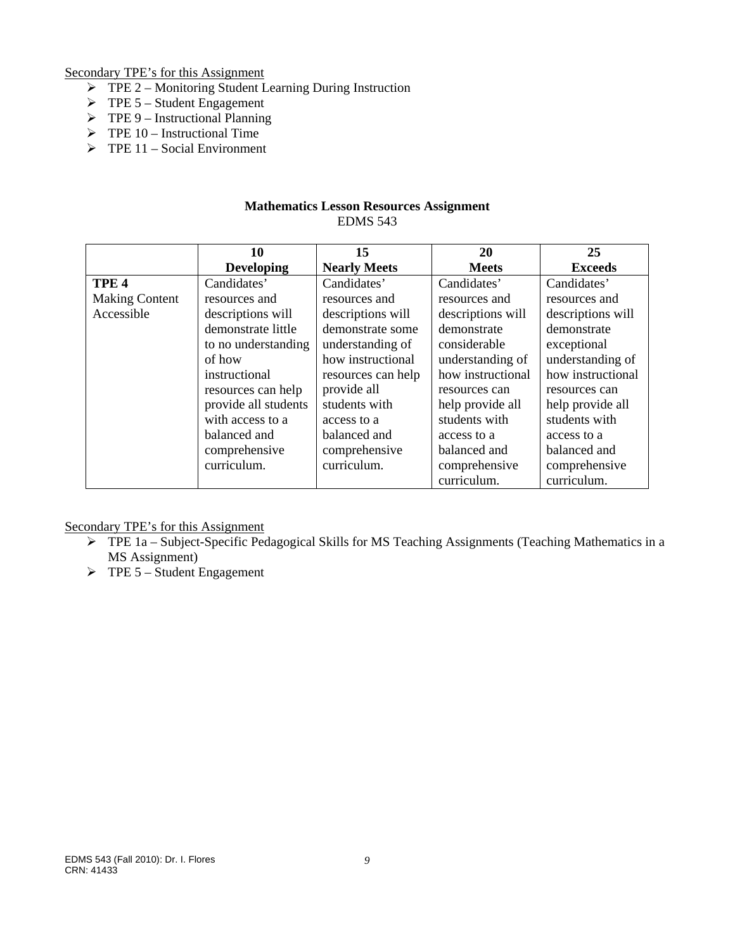Secondary TPE's for this Assignment

- $\triangleright$  TPE 2 Monitoring Student Learning During Instruction
- $\triangleright$  TPE 5 Student Engagement
- $\triangleright$  TPE 9 Instructional Planning
- $\triangleright$  TPE 10 Instructional Time
- $\triangleright$  TPE 11 Social Environment

### **Mathematics Lesson Resources Assignment**  EDMS 543

|                       | 10                   | 15                  | 20                | 25                |
|-----------------------|----------------------|---------------------|-------------------|-------------------|
|                       | <b>Developing</b>    | <b>Nearly Meets</b> | <b>Meets</b>      | <b>Exceeds</b>    |
| TPE <sub>4</sub>      | Candidates'          | Candidates'         | Candidates'       | Candidates'       |
| <b>Making Content</b> | resources and        | resources and       | resources and     | resources and     |
| Accessible            | descriptions will    | descriptions will   | descriptions will | descriptions will |
|                       | demonstrate little   | demonstrate some    | demonstrate       | demonstrate       |
|                       | to no understanding  | understanding of    | considerable      | exceptional       |
|                       | of how               | how instructional   | understanding of  | understanding of  |
|                       | instructional        | resources can help  | how instructional | how instructional |
|                       | resources can help   | provide all         | resources can     | resources can     |
|                       | provide all students | students with       | help provide all  | help provide all  |
|                       | with access to a     | access to a         | students with     | students with     |
|                       | balanced and         | balanced and        | access to a       | access to a       |
|                       | comprehensive        | comprehensive       | balanced and      | balanced and      |
|                       | curriculum.          | curriculum.         | comprehensive     | comprehensive     |
|                       |                      |                     | curriculum.       | curriculum.       |

Secondary TPE's for this Assignment

- $\triangleright$  TPE 1a Subject-Specific Pedagogical Skills for MS Teaching Assignments (Teaching Mathematics in a MS Assignment)
- $\triangleright$  TPE 5 Student Engagement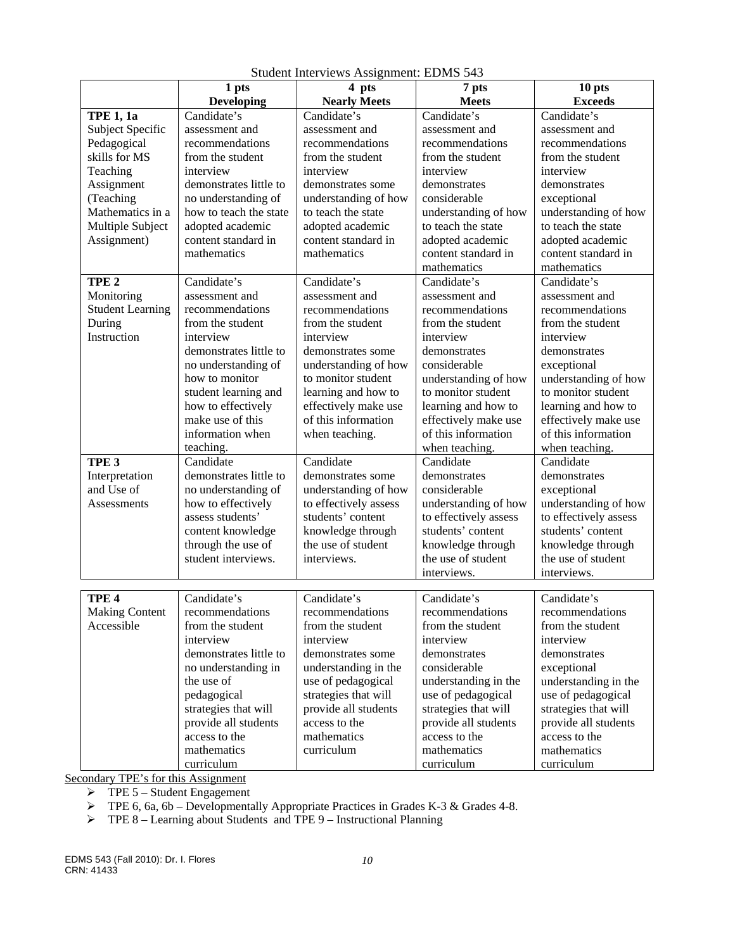|                                           | 1 pts                                                                                                     | 4 pts                                                                                      | 7 pts                                                                                                            | 10 pts                                                                                                           |
|-------------------------------------------|-----------------------------------------------------------------------------------------------------------|--------------------------------------------------------------------------------------------|------------------------------------------------------------------------------------------------------------------|------------------------------------------------------------------------------------------------------------------|
|                                           | <b>Developing</b>                                                                                         | <b>Nearly Meets</b>                                                                        | <b>Meets</b>                                                                                                     | <b>Exceeds</b>                                                                                                   |
| <b>TPE 1, 1a</b>                          | Candidate's                                                                                               | Candidate's                                                                                | Candidate's                                                                                                      | Candidate's                                                                                                      |
| Subject Specific                          | assessment and                                                                                            | assessment and                                                                             | assessment and                                                                                                   | assessment and                                                                                                   |
| Pedagogical                               | recommendations                                                                                           | recommendations                                                                            | recommendations                                                                                                  | recommendations                                                                                                  |
| skills for MS                             | from the student                                                                                          | from the student                                                                           | from the student                                                                                                 | from the student                                                                                                 |
| Teaching                                  | interview                                                                                                 | interview                                                                                  | interview                                                                                                        | interview                                                                                                        |
| Assignment                                | demonstrates little to                                                                                    | demonstrates some                                                                          | demonstrates                                                                                                     | demonstrates                                                                                                     |
| (Teaching                                 | no understanding of                                                                                       | understanding of how                                                                       | considerable                                                                                                     | exceptional                                                                                                      |
| Mathematics in a                          | how to teach the state                                                                                    | to teach the state                                                                         | understanding of how                                                                                             | understanding of how                                                                                             |
| Multiple Subject                          | adopted academic                                                                                          | adopted academic                                                                           | to teach the state                                                                                               | to teach the state                                                                                               |
| Assignment)                               | content standard in                                                                                       | content standard in                                                                        | adopted academic                                                                                                 | adopted academic                                                                                                 |
|                                           | mathematics                                                                                               | mathematics                                                                                | content standard in                                                                                              | content standard in                                                                                              |
|                                           |                                                                                                           |                                                                                            | mathematics                                                                                                      | mathematics                                                                                                      |
| TPE <sub>2</sub>                          | Candidate's                                                                                               | Candidate's                                                                                | Candidate's                                                                                                      | Candidate's                                                                                                      |
| Monitoring                                | assessment and                                                                                            | assessment and                                                                             | assessment and                                                                                                   | assessment and                                                                                                   |
| <b>Student Learning</b>                   | recommendations                                                                                           | recommendations                                                                            | recommendations                                                                                                  | recommendations                                                                                                  |
| During                                    | from the student                                                                                          | from the student                                                                           | from the student                                                                                                 | from the student                                                                                                 |
| Instruction                               | interview                                                                                                 | interview                                                                                  | interview                                                                                                        | interview                                                                                                        |
|                                           | demonstrates little to                                                                                    | demonstrates some                                                                          | demonstrates                                                                                                     | demonstrates                                                                                                     |
|                                           | no understanding of                                                                                       | understanding of how                                                                       | considerable                                                                                                     | exceptional                                                                                                      |
|                                           | how to monitor                                                                                            | to monitor student                                                                         | understanding of how                                                                                             | understanding of how                                                                                             |
|                                           | student learning and                                                                                      | learning and how to                                                                        | to monitor student                                                                                               | to monitor student                                                                                               |
|                                           | how to effectively                                                                                        | effectively make use                                                                       | learning and how to                                                                                              | learning and how to                                                                                              |
|                                           | make use of this                                                                                          | of this information                                                                        | effectively make use                                                                                             | effectively make use                                                                                             |
|                                           | information when                                                                                          | when teaching.                                                                             | of this information                                                                                              | of this information                                                                                              |
|                                           | teaching.                                                                                                 |                                                                                            | when teaching.                                                                                                   | when teaching.                                                                                                   |
| TPE <sub>3</sub>                          | Candidate                                                                                                 | Candidate                                                                                  | Candidate                                                                                                        | Candidate                                                                                                        |
| Interpretation                            | demonstrates little to                                                                                    | demonstrates some                                                                          | demonstrates                                                                                                     | demonstrates                                                                                                     |
| and Use of                                | no understanding of                                                                                       | understanding of how                                                                       | considerable                                                                                                     | exceptional                                                                                                      |
| Assessments                               | how to effectively                                                                                        | to effectively assess                                                                      | understanding of how                                                                                             | understanding of how                                                                                             |
|                                           | assess students'                                                                                          | students' content                                                                          | to effectively assess                                                                                            | to effectively assess                                                                                            |
|                                           | content knowledge                                                                                         | knowledge through                                                                          | students' content                                                                                                | students' content                                                                                                |
|                                           | through the use of                                                                                        | the use of student                                                                         | knowledge through                                                                                                | knowledge through                                                                                                |
|                                           | student interviews.                                                                                       | interviews.                                                                                | the use of student                                                                                               | the use of student                                                                                               |
|                                           |                                                                                                           |                                                                                            | interviews.                                                                                                      | interviews.                                                                                                      |
|                                           | Candidate's                                                                                               | Candidate's                                                                                |                                                                                                                  | Candidate's                                                                                                      |
| TPE <sub>4</sub><br><b>Making Content</b> | recommendations                                                                                           | recommendations                                                                            | Candidate's<br>recommendations                                                                                   | recommendations                                                                                                  |
| Accessible                                | from the student                                                                                          | from the student                                                                           | from the student                                                                                                 | from the student                                                                                                 |
|                                           | interview                                                                                                 | interview                                                                                  | interview                                                                                                        | interview                                                                                                        |
|                                           | demonstrates little to                                                                                    |                                                                                            | demonstrates                                                                                                     |                                                                                                                  |
|                                           |                                                                                                           | demonstrates some                                                                          | considerable                                                                                                     | demonstrates                                                                                                     |
|                                           | no understanding in<br>the use of                                                                         | understanding in the<br>use of pedagogical                                                 | understanding in the                                                                                             | exceptional<br>understanding in the                                                                              |
|                                           |                                                                                                           |                                                                                            |                                                                                                                  |                                                                                                                  |
|                                           |                                                                                                           |                                                                                            |                                                                                                                  |                                                                                                                  |
|                                           |                                                                                                           |                                                                                            |                                                                                                                  |                                                                                                                  |
|                                           |                                                                                                           |                                                                                            |                                                                                                                  |                                                                                                                  |
|                                           |                                                                                                           |                                                                                            |                                                                                                                  |                                                                                                                  |
|                                           |                                                                                                           |                                                                                            |                                                                                                                  |                                                                                                                  |
|                                           | pedagogical<br>strategies that will<br>provide all students<br>access to the<br>mathematics<br>curriculum | strategies that will<br>provide all students<br>access to the<br>mathematics<br>curriculum | use of pedagogical<br>strategies that will<br>provide all students<br>access to the<br>mathematics<br>curriculum | use of pedagogical<br>strategies that will<br>provide all students<br>access to the<br>mathematics<br>curriculum |

Student Interviews Assignment: EDMS 543

Secondary TPE's for this Assignment

 $\triangleright$  TPE 5 – Student Engagement

 $\triangleright$  TPE 6, 6a, 6b – Developmentally Appropriate Practices in Grades K-3 & Grades 4-8.

 $\triangleright$  TPE 8 – Learning about Students and TPE 9 – Instructional Planning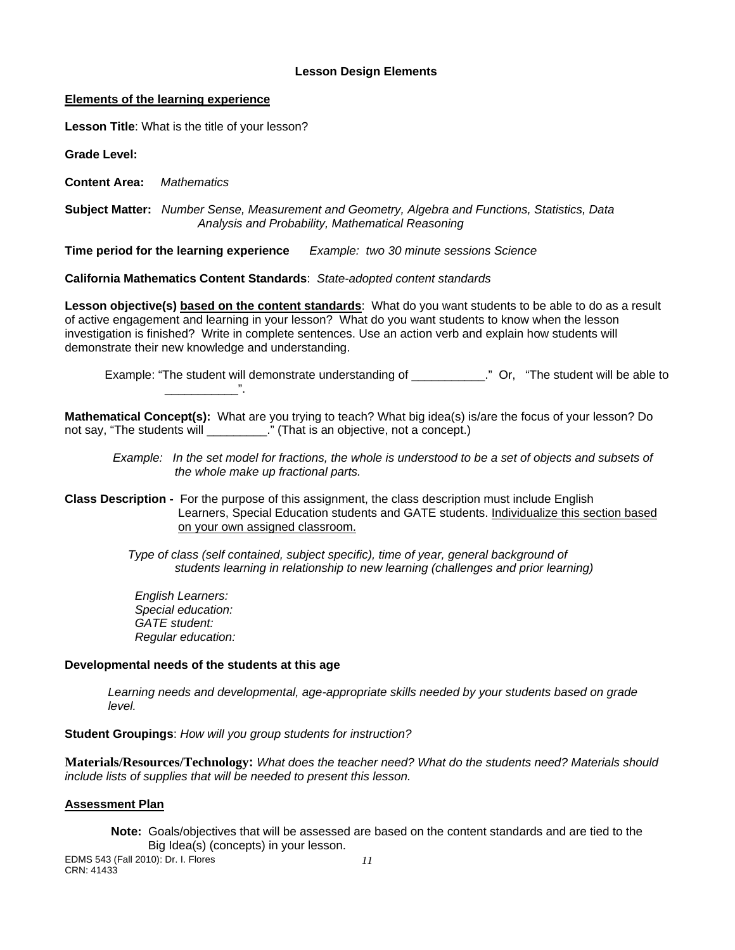#### **Lesson Design Elements**

#### **Elements of the learning experience**

**Lesson Title**: What is the title of your lesson?

**Grade Level:** 

**Content Area:** *Mathematics* 

 **Subject Matter:** *Number Sense, Measurement and Geometry, Algebra and Functions, Statistics, Data Analysis and Probability, Mathematical Reasoning* 

**Time period for the learning experience** *Example: two 30 minute sessions Science* 

**California Mathematics Content Standards**: *State-adopted content standards* 

**Lesson objective(s) based on the content standards**: What do you want students to be able to do as a result of active engagement and learning in your lesson? What do you want students to know when the lesson investigation is finished? Write in complete sentences. Use an action verb and explain how students will demonstrate their new knowledge and understanding.

Example: "The student will demonstrate understanding of \_\_\_\_\_\_\_\_\_\_\_." Or, "The student will be able to

**Mathematical Concept(s):** What are you trying to teach? What big idea(s) is/are the focus of your lesson? Do not say, "The students will **The students** will **result in the student** of  $\mathbf{r}$ ." (That is an objective, not a concept.)

*Example: In the set model for fractions, the whole is understood to be a set of objects and subsets of the whole make up fractional parts.* 

**Class Description -** For the purpose of this assignment, the class description must include English Learners, Special Education students and GATE students. Individualize this section based on your own assigned classroom.

> *Type of class (self contained, subject specific), time of year, general background of students learning in relationship to new learning (challenges and prior learning)*

*English Learners: Special education: GATE student: Regular education:* 

#### **Developmental needs of the students at this age**

\_\_\_\_\_\_\_\_\_\_\_".

*Learning needs and developmental, age-appropriate skills needed by your students based on grade level.* 

**Student Groupings**: *How will you group students for instruction?* 

**Materials/Resources/Technology:** *What does the teacher need? What do the students need? Materials should include lists of supplies that will be needed to present this lesson.* 

## **Assessment Plan**

**Note:** Goals/objectives that will be assessed are based on the content standards and are tied to the Big Idea(s) (concepts) in your lesson.

EDMS 543 (Fall 2010): Dr. I. Flores *11*  CRN: 41433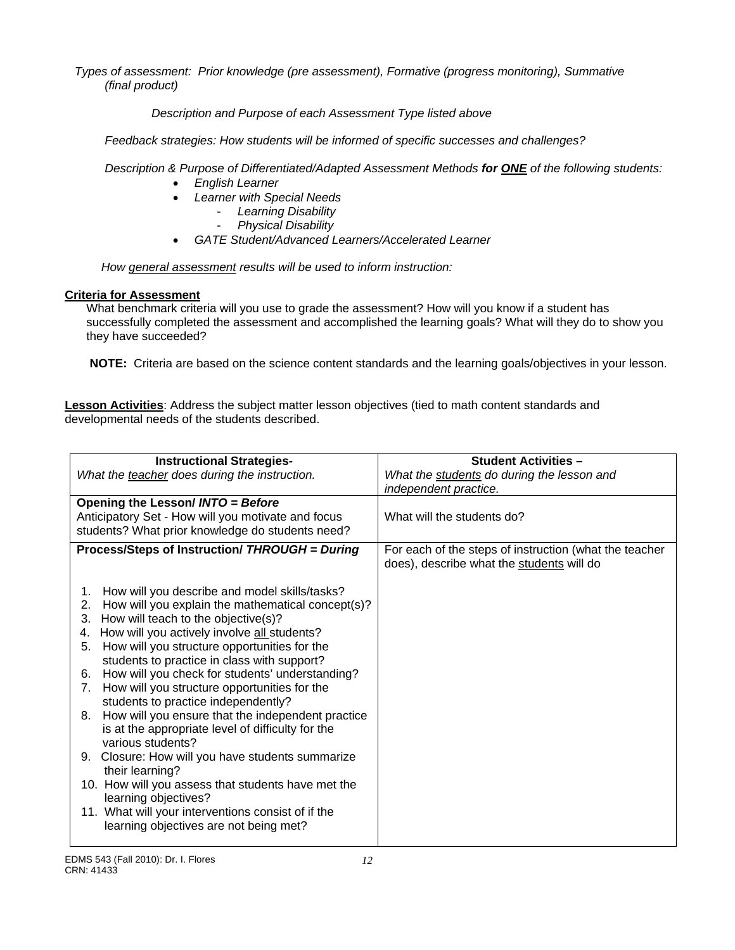*Types of assessment: Prior knowledge (pre assessment), Formative (progress monitoring), Summative (final product)*

 *Description and Purpose of each Assessment Type listed above* 

 *Feedback strategies: How students will be informed of specific successes and challenges?*

 *Description & Purpose of Differentiated/Adapted Assessment Methods for ONE of the following students:* 

- *English Learner*
- *Learner with Special Needs* 
	- *Learning Disability* 
		- *Physical Disability*
- *GATE Student/Advanced Learners/Accelerated Learner*

*How general assessment results will be used to inform instruction:* 

# **Criteria for Assessment**

What benchmark criteria will you use to grade the assessment? How will you know if a student has successfully completed the assessment and accomplished the learning goals? What will they do to show you they have succeeded?

**NOTE:** Criteria are based on the science content standards and the learning goals/objectives in your lesson.

**Lesson Activities**: Address the subject matter lesson objectives (tied to math content standards and developmental needs of the students described.

| <b>Instructional Strategies-</b>                                                    | <b>Student Activities -</b>                                                                         |
|-------------------------------------------------------------------------------------|-----------------------------------------------------------------------------------------------------|
| What the teacher does during the instruction.                                       | What the students do during the lesson and<br>independent practice.                                 |
| Opening the Lesson/ INTO = Before                                                   |                                                                                                     |
| Anticipatory Set - How will you motivate and focus                                  | What will the students do?                                                                          |
| students? What prior knowledge do students need?                                    |                                                                                                     |
| Process/Steps of Instruction/ THROUGH = During                                      | For each of the steps of instruction (what the teacher<br>does), describe what the students will do |
| How will you describe and model skills/tasks?<br>1.                                 |                                                                                                     |
| How will you explain the mathematical concept(s)?<br>2.                             |                                                                                                     |
| How will teach to the objective(s)?<br>3.                                           |                                                                                                     |
| How will you actively involve all students?<br>4.                                   |                                                                                                     |
| How will you structure opportunities for the<br>5.                                  |                                                                                                     |
| students to practice in class with support?                                         |                                                                                                     |
| How will you check for students' understanding?<br>6.<br>7.                         |                                                                                                     |
| How will you structure opportunities for the<br>students to practice independently? |                                                                                                     |
| How will you ensure that the independent practice<br>8.                             |                                                                                                     |
| is at the appropriate level of difficulty for the                                   |                                                                                                     |
| various students?                                                                   |                                                                                                     |
| Closure: How will you have students summarize<br>9.                                 |                                                                                                     |
| their learning?                                                                     |                                                                                                     |
| 10. How will you assess that students have met the<br>learning objectives?          |                                                                                                     |
| 11. What will your interventions consist of if the                                  |                                                                                                     |
| learning objectives are not being met?                                              |                                                                                                     |
|                                                                                     |                                                                                                     |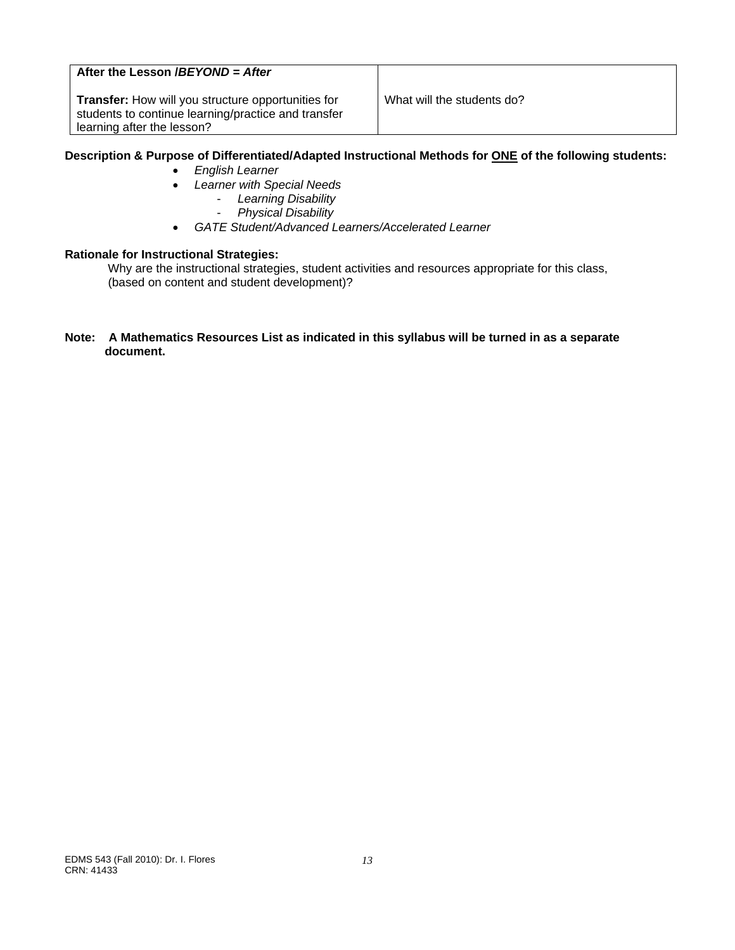# **After the Lesson /***BEYOND = After*

**Transfer:** How will you structure opportunities for What will the students do? students to continue learning/practice and transfer learning after the lesson?

## **Description & Purpose of Differentiated/Adapted Instructional Methods for ONE of the following students:**

- *English Learner*
- *Learner with Special Needs*
	- *Learning Disability*
	- *Physical Disability*
- *GATE Student/Advanced Learners/Accelerated Learner*

#### **Rationale for Instructional Strategies:**

Why are the instructional strategies, student activities and resources appropriate for this class, (based on content and student development)?

#### **Note: A Mathematics Resources List as indicated in this syllabus will be turned in as a separate document.**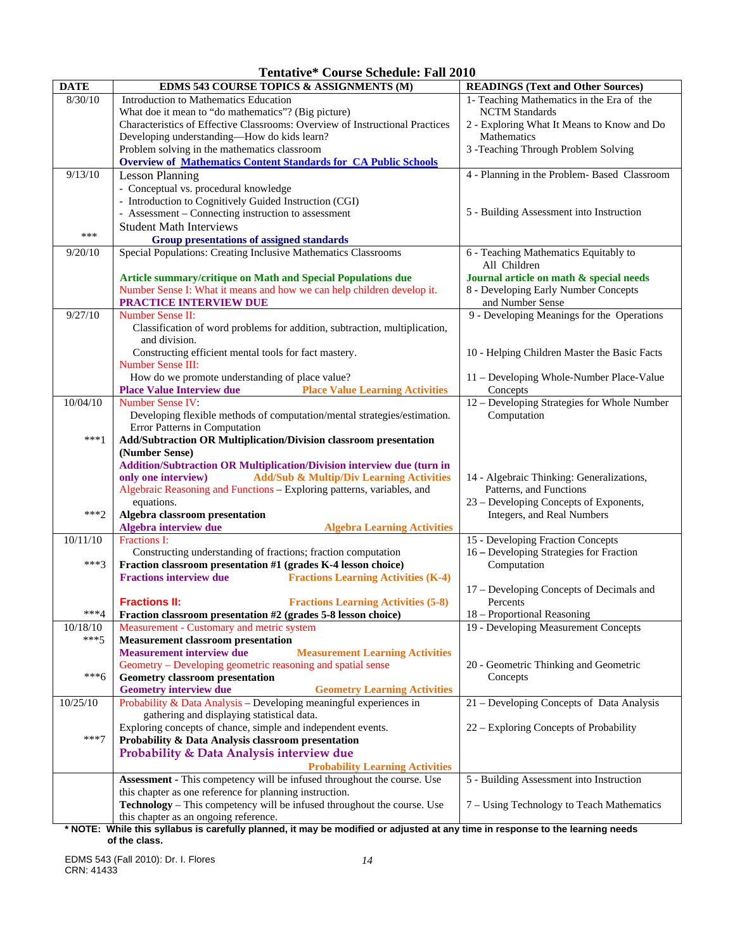**Tentative\* Course Schedule: Fall 2010** 

| <b>DATE</b> | EDMS 543 COURSE TOPICS & ASSIGNMENTS (M)                                                                                                   | <b>READINGS (Text and Other Sources)</b>                             |  |  |
|-------------|--------------------------------------------------------------------------------------------------------------------------------------------|----------------------------------------------------------------------|--|--|
| 8/30/10     | Introduction to Mathematics Education                                                                                                      | 1- Teaching Mathematics in the Era of the                            |  |  |
|             | What doe it mean to "do mathematics"? (Big picture)                                                                                        | <b>NCTM</b> Standards                                                |  |  |
|             | Characteristics of Effective Classrooms: Overview of Instructional Practices                                                               | 2 - Exploring What It Means to Know and Do                           |  |  |
|             | Developing understanding-How do kids learn?                                                                                                | Mathematics                                                          |  |  |
|             | Problem solving in the mathematics classroom                                                                                               | 3 - Teaching Through Problem Solving                                 |  |  |
|             | <b>Overview of Mathematics Content Standards for CA Public Schools</b>                                                                     |                                                                      |  |  |
| 9/13/10     | <b>Lesson Planning</b>                                                                                                                     | 4 - Planning in the Problem- Based Classroom                         |  |  |
|             | - Conceptual vs. procedural knowledge                                                                                                      |                                                                      |  |  |
|             | - Introduction to Cognitively Guided Instruction (CGI)                                                                                     |                                                                      |  |  |
|             | - Assessment – Connecting instruction to assessment                                                                                        | 5 - Building Assessment into Instruction                             |  |  |
| ***         | <b>Student Math Interviews</b>                                                                                                             |                                                                      |  |  |
|             | <b>Group presentations of assigned standards</b>                                                                                           |                                                                      |  |  |
| 9/20/10     | Special Populations: Creating Inclusive Mathematics Classrooms                                                                             | 6 - Teaching Mathematics Equitably to                                |  |  |
|             |                                                                                                                                            | All Children<br>Journal article on math & special needs              |  |  |
|             | Article summary/critique on Math and Special Populations due<br>Number Sense I: What it means and how we can help children develop it.     | 8 - Developing Early Number Concepts                                 |  |  |
|             | PRACTICE INTERVIEW DUE                                                                                                                     | and Number Sense                                                     |  |  |
| 9/27/10     | Number Sense II:                                                                                                                           | 9 - Developing Meanings for the Operations                           |  |  |
|             | Classification of word problems for addition, subtraction, multiplication,                                                                 |                                                                      |  |  |
|             | and division.                                                                                                                              |                                                                      |  |  |
|             | Constructing efficient mental tools for fact mastery.                                                                                      | 10 - Helping Children Master the Basic Facts                         |  |  |
|             | <b>Number Sense III:</b>                                                                                                                   |                                                                      |  |  |
|             | How do we promote understanding of place value?                                                                                            | 11 - Developing Whole-Number Place-Value                             |  |  |
|             | <b>Place Value Interview due</b><br><b>Place Value Learning Activities</b>                                                                 | Concepts                                                             |  |  |
| 10/04/10    | Number Sense IV:                                                                                                                           | 12 - Developing Strategies for Whole Number                          |  |  |
|             | Developing flexible methods of computation/mental strategies/estimation.                                                                   | Computation                                                          |  |  |
|             | Error Patterns in Computation                                                                                                              |                                                                      |  |  |
| $***1$      | Add/Subtraction OR Multiplication/Division classroom presentation                                                                          |                                                                      |  |  |
|             | (Number Sense)                                                                                                                             |                                                                      |  |  |
|             | Addition/Subtraction OR Multiplication/Division interview due (turn in                                                                     |                                                                      |  |  |
|             | <b>Add/Sub &amp; Multip/Div Learning Activities</b><br>only one interview)                                                                 | 14 - Algebraic Thinking: Generalizations,                            |  |  |
|             | Algebraic Reasoning and Functions - Exploring patterns, variables, and                                                                     | Patterns, and Functions                                              |  |  |
| $***2$      | equations.<br>Algebra classroom presentation                                                                                               | 23 – Developing Concepts of Exponents,<br>Integers, and Real Numbers |  |  |
|             | Algebra interview due<br><b>Algebra Learning Activities</b>                                                                                |                                                                      |  |  |
| 10/11/10    | Fractions I:                                                                                                                               | 15 - Developing Fraction Concepts                                    |  |  |
|             | Constructing understanding of fractions; fraction computation                                                                              | 16 - Developing Strategies for Fraction                              |  |  |
| $***3$      | Fraction classroom presentation #1 (grades K-4 lesson choice)                                                                              | Computation                                                          |  |  |
|             | <b>Fractions interview due</b><br><b>Fractions Learning Activities (K-4)</b>                                                               |                                                                      |  |  |
|             |                                                                                                                                            | 17 – Developing Concepts of Decimals and                             |  |  |
|             | <b>Fractions II:</b><br><b>Fractions Learning Activities (5-8)</b>                                                                         | Percents                                                             |  |  |
| ***4        | Fraction classroom presentation #2 (grades 5-8 lesson choice)                                                                              | 18 - Proportional Reasoning                                          |  |  |
| 10/18/10    | Measurement - Customary and metric system                                                                                                  | 19 - Developing Measurement Concepts                                 |  |  |
| $***5$      | <b>Measurement classroom presentation</b>                                                                                                  |                                                                      |  |  |
|             | <b>Measurement interview due</b><br><b>Measurement Learning Activities</b>                                                                 |                                                                      |  |  |
|             | Geometry – Developing geometric reasoning and spatial sense                                                                                | 20 - Geometric Thinking and Geometric                                |  |  |
| $***6$      | <b>Geometry classroom presentation</b>                                                                                                     | Concepts                                                             |  |  |
|             | <b>Geometry interview due</b><br><b>Geometry Learning Activities</b><br>Probability & Data Analysis - Developing meaningful experiences in |                                                                      |  |  |
| 10/25/10    |                                                                                                                                            | 21 - Developing Concepts of Data Analysis                            |  |  |
|             | gathering and displaying statistical data.<br>Exploring concepts of chance, simple and independent events.                                 | 22 – Exploring Concepts of Probability                               |  |  |
| $***7$      | Probability & Data Analysis classroom presentation                                                                                         |                                                                      |  |  |
|             | Probability & Data Analysis interview due                                                                                                  |                                                                      |  |  |
|             | <b>Probability Learning Activities</b>                                                                                                     |                                                                      |  |  |
|             | Assessment - This competency will be infused throughout the course. Use                                                                    | 5 - Building Assessment into Instruction                             |  |  |
|             | this chapter as one reference for planning instruction.                                                                                    |                                                                      |  |  |
|             | Technology - This competency will be infused throughout the course. Use                                                                    | 7 - Using Technology to Teach Mathematics                            |  |  |
|             | this chapter as an ongoing reference.                                                                                                      |                                                                      |  |  |
|             | * NOTE: While this syllabus is carefully planned, it may be modified or adjusted at any time in response to the learning needs             |                                                                      |  |  |

 **of the class.** 

EDMS 543 (Fall 2010): Dr. I. Flores *14*  CRN: 41433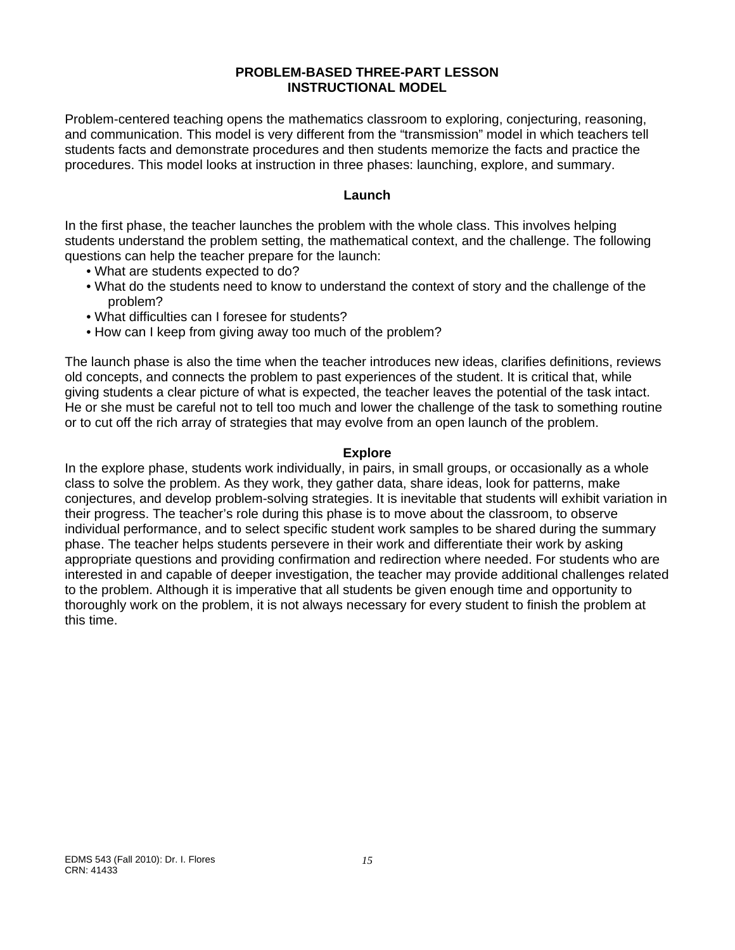# **PROBLEM-BASED THREE-PART LESSON INSTRUCTIONAL MODEL**

Problem-centered teaching opens the mathematics classroom to exploring, conjecturing, reasoning, and communication. This model is very different from the "transmission" model in which teachers tell students facts and demonstrate procedures and then students memorize the facts and practice the procedures. This model looks at instruction in three phases: launching, explore, and summary.

## **Launch**

In the first phase, the teacher launches the problem with the whole class. This involves helping students understand the problem setting, the mathematical context, and the challenge. The following questions can help the teacher prepare for the launch:

- . What are students expected to do?
- What do the students need to know to understand the context of story and the challenge of the problem?
- What difficulties can I foresee for students?
- How can I keep from giving away too much of the problem?

The launch phase is also the time when the teacher introduces new ideas, clarifies definitions, reviews old concepts, and connects the problem to past experiences of the student. It is critical that, while giving students a clear picture of what is expected, the teacher leaves the potential of the task intact. He or she must be careful not to tell too much and lower the challenge of the task to something routine or to cut off the rich array of strategies that may evolve from an open launch of the problem.

## **Explore**

In the explore phase, students work individually, in pairs, in small groups, or occasionally as a whole class to solve the problem. As they work, they gather data, share ideas, look for patterns, make conjectures, and develop problem-solving strategies. It is inevitable that students will exhibit variation in their progress. The teacher's role during this phase is to move about the classroom, to observe individual performance, and to select specific student work samples to be shared during the summary phase. The teacher helps students persevere in their work and differentiate their work by asking appropriate questions and providing confirmation and redirection where needed. For students who are interested in and capable of deeper investigation, the teacher may provide additional challenges related to the problem. Although it is imperative that all students be given enough time and opportunity to thoroughly work on the problem, it is not always necessary for every student to finish the problem at this time.